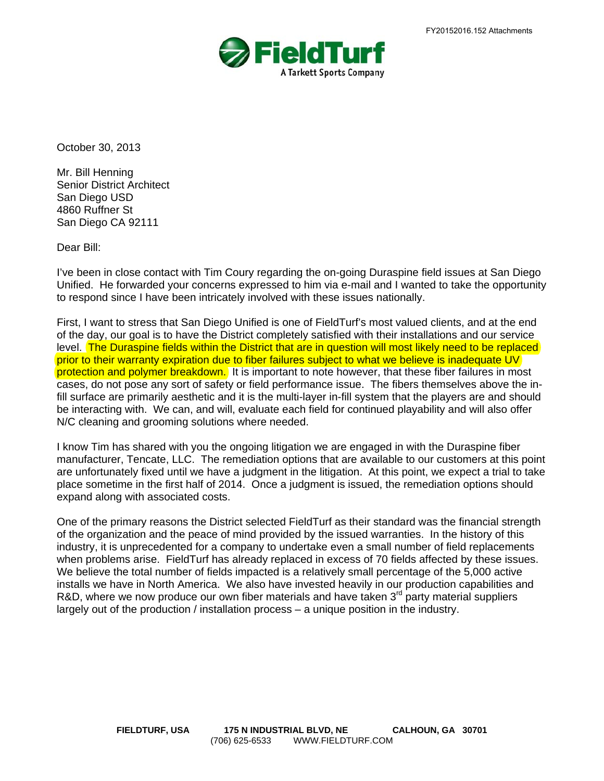

October 30, 2013

Mr. Bill Henning Senior District Architect San Diego USD 4860 Ruffner St San Diego CA 92111

Dear Bill:

I've been in close contact with Tim Coury regarding the on-going Duraspine field issues at San Diego Unified. He forwarded your concerns expressed to him via e-mail and I wanted to take the opportunity to respond since I have been intricately involved with these issues nationally.

First, I want to stress that San Diego Unified is one of FieldTurf's most valued clients, and at the end of the day, our goal is to have the District completely satisfied with their installations and our service level. The Duraspine fields within the District that are in question will most likely need to be replaced prior to their warranty expiration due to fiber failures subject to what we believe is inadequate UV protection and polymer breakdown. It is important to note however, that these fiber failures in most cases, do not pose any sort of safety or field performance issue. The fibers themselves above the infill surface are primarily aesthetic and it is the multi-layer in-fill system that the players are and should be interacting with. We can, and will, evaluate each field for continued playability and will also offer N/C cleaning and grooming solutions where needed.

I know Tim has shared with you the ongoing litigation we are engaged in with the Duraspine fiber manufacturer, Tencate, LLC. The remediation options that are available to our customers at this point are unfortunately fixed until we have a judgment in the litigation. At this point, we expect a trial to take place sometime in the first half of 2014. Once a judgment is issued, the remediation options should expand along with associated costs.

One of the primary reasons the District selected FieldTurf as their standard was the financial strength of the organization and the peace of mind provided by the issued warranties. In the history of this industry, it is unprecedented for a company to undertake even a small number of field replacements when problems arise. FieldTurf has already replaced in excess of 70 fields affected by these issues. We believe the total number of fields impacted is a relatively small percentage of the 5,000 active installs we have in North America. We also have invested heavily in our production capabilities and R&D, where we now produce our own fiber materials and have taken 3<sup>rd</sup> party material suppliers largely out of the production / installation process – a unique position in the industry.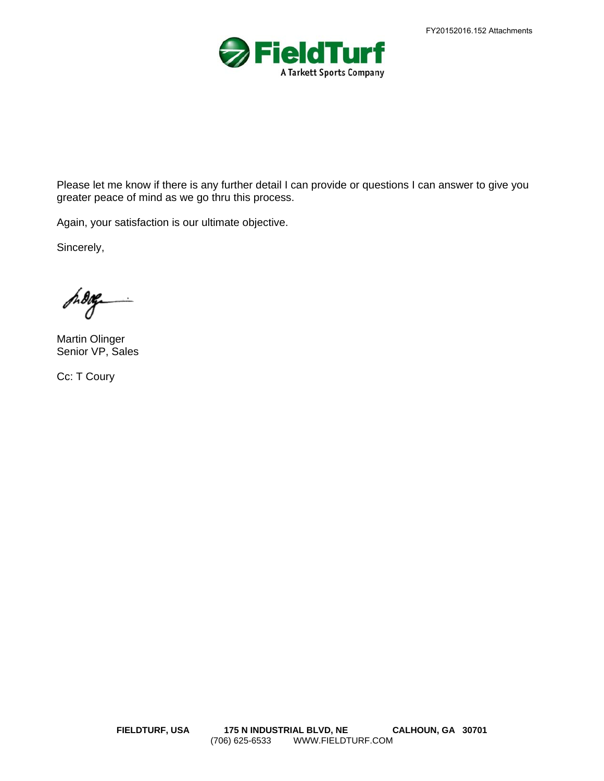

Please let me know if there is any further detail I can provide or questions I can answer to give you greater peace of mind as we go thru this process.

Again, your satisfaction is our ultimate objective.

Sincerely,

S. Dag

Martin Olinger Senior VP, Sales

Cc: T Coury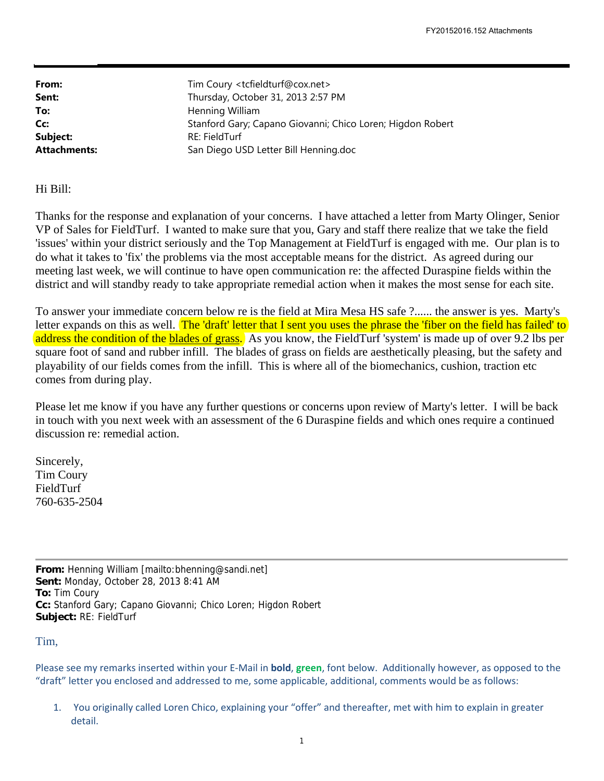| From:               | Tim Coury <tcfieldturf@cox.net></tcfieldturf@cox.net>      |
|---------------------|------------------------------------------------------------|
| Sent:               | Thursday, October 31, 2013 2:57 PM                         |
| To:                 | Henning William                                            |
| Cc:                 | Stanford Gary; Capano Giovanni; Chico Loren; Higdon Robert |
| Subject:            | RE: FieldTurf                                              |
| <b>Attachments:</b> | San Diego USD Letter Bill Henning.doc                      |

Hi Bill:

Thanks for the response and explanation of your concerns. I have attached a letter from Marty Olinger, Senior VP of Sales for FieldTurf. I wanted to make sure that you, Gary and staff there realize that we take the field 'issues' within your district seriously and the Top Management at FieldTurf is engaged with me. Our plan is to do what it takes to 'fix' the problems via the most acceptable means for the district. As agreed during our meeting last week, we will continue to have open communication re: the affected Duraspine fields within the district and will standby ready to take appropriate remedial action when it makes the most sense for each site.

To answer your immediate concern below re is the field at Mira Mesa HS safe ?...... the answer is yes. Marty's letter expands on this as well. The 'draft' letter that I sent you uses the phrase the 'fiber on the field has failed' to address the condition of the blades of grass. As you know, the FieldTurf 'system' is made up of over 9.2 lbs per square foot of sand and rubber infill. The blades of grass on fields are aesthetically pleasing, but the safety and playability of our fields comes from the infill. This is where all of the biomechanics, cushion, traction etc comes from during play.

Please let me know if you have any further questions or concerns upon review of Marty's letter. I will be back in touch with you next week with an assessment of the 6 Duraspine fields and which ones require a continued discussion re: remedial action.

Sincerely, Tim Coury FieldTurf 760-635-2504

**From:** Henning William [mailto:bhenning@sandi.net] **Sent:** Monday, October 28, 2013 8:41 AM **To:** Tim Coury **Cc:** Stanford Gary; Capano Giovanni; Chico Loren; Higdon Robert **Subject:** RE: FieldTurf

Tim,

Please see my remarks inserted within your E‐Mail in **bold**, **green**, font below. Additionally however, as opposed to the "draft" letter you enclosed and addressed to me, some applicable, additional, comments would be as follows:

1. You originally called Loren Chico, explaining your "offer" and thereafter, met with him to explain in greater detail.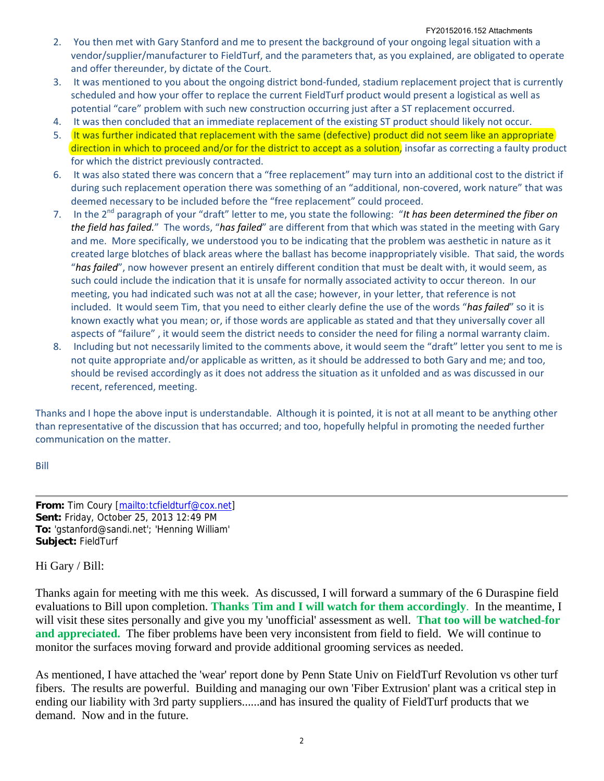- 2. You then met with Gary Stanford and me to present the background of your ongoing legal situation with a vendor/supplier/manufacturer to FieldTurf, and the parameters that, as you explained, are obligated to operate and offer thereunder, by dictate of the Court.
- 3. It was mentioned to you about the ongoing district bond‐funded, stadium replacement project that is currently scheduled and how your offer to replace the current FieldTurf product would present a logistical as well as potential "care" problem with such new construction occurring just after a ST replacement occurred.
- 4. It was then concluded that an immediate replacement of the existing ST product should likely not occur.
- 5. It was further indicated that replacement with the same (defective) product did not seem like an appropriate direction in which to proceed and/or for the district to accept as a solution, insofar as correcting a faulty product for which the district previously contracted.
- 6. It was also stated there was concern that a "free replacement" may turn into an additional cost to the district if during such replacement operation there was something of an "additional, non-covered, work nature" that was deemed necessary to be included before the "free replacement" could proceed.
- 7. In the 2nd paragraph of your "draft" letter to me, you state the following: "*It has been determined the fiber on the field has failed.*" The words, "*has failed*" are different from that which was stated in the meeting with Gary and me. More specifically, we understood you to be indicating that the problem was aesthetic in nature as it created large blotches of black areas where the ballast has become inappropriately visible. That said, the words "*has failed*", now however present an entirely different condition that must be dealt with, it would seem, as such could include the indication that it is unsafe for normally associated activity to occur thereon. In our meeting, you had indicated such was not at all the case; however, in your letter, that reference is not included. It would seem Tim, that you need to either clearly define the use of the words "*has failed*" so it is known exactly what you mean; or, if those words are applicable as stated and that they universally cover all aspects of "failure" , it would seem the district needs to consider the need for filing a normal warranty claim.
- 8. Including but not necessarily limited to the comments above, it would seem the "draft" letter you sent to me is not quite appropriate and/or applicable as written, as it should be addressed to both Gary and me; and too, should be revised accordingly as it does not address the situation as it unfolded and as was discussed in our recent, referenced, meeting.

Thanks and I hope the above input is understandable. Although it is pointed, it is not at all meant to be anything other than representative of the discussion that has occurred; and too, hopefully helpful in promoting the needed further communication on the matter.

Bill

**From:** Tim Coury [mailto:tcfieldturf@cox.net] **Sent:** Friday, October 25, 2013 12:49 PM **To:** 'gstanford@sandi.net'; 'Henning William' **Subject:** FieldTurf

Hi Gary / Bill:

Thanks again for meeting with me this week. As discussed, I will forward a summary of the 6 Duraspine field evaluations to Bill upon completion. **Thanks Tim and I will watch for them accordingly**. In the meantime, I will visit these sites personally and give you my 'unofficial' assessment as well. **That too will be watched-for and appreciated.** The fiber problems have been very inconsistent from field to field. We will continue to monitor the surfaces moving forward and provide additional grooming services as needed.

As mentioned, I have attached the 'wear' report done by Penn State Univ on FieldTurf Revolution vs other turf fibers. The results are powerful. Building and managing our own 'Fiber Extrusion' plant was a critical step in ending our liability with 3rd party suppliers......and has insured the quality of FieldTurf products that we demand. Now and in the future.